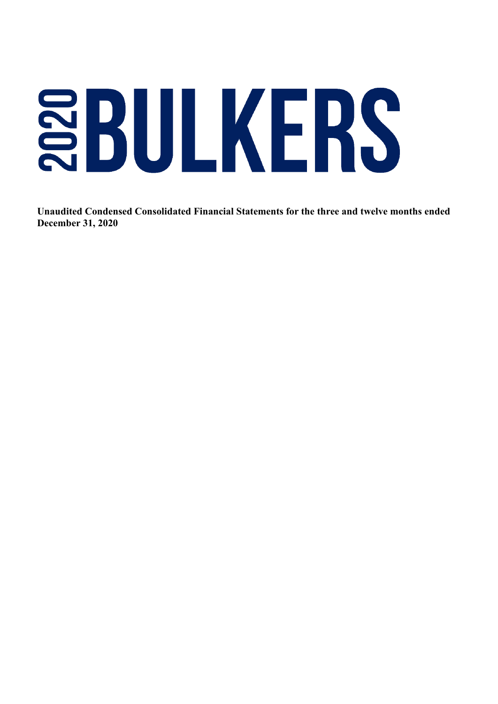# SBULKERS

 **Unaudited Condensed Consolidated Financial Statements for the three and twelve months ended December 31, 2020**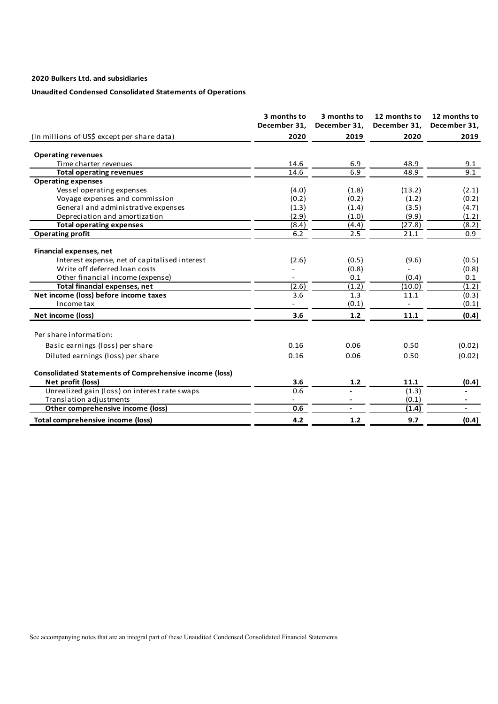# **Unaudited Condensed Consolidated Statements of Operations**

|                                                               | 3 months to<br>December 31, | 3 months to<br>December 31, | 12 months to<br>December 31, | 12 months to<br>December 31, |
|---------------------------------------------------------------|-----------------------------|-----------------------------|------------------------------|------------------------------|
| (In millions of US\$ except per share data)                   | 2020                        | 2019                        | 2020                         | 2019                         |
| <b>Operating revenues</b>                                     |                             |                             |                              |                              |
| Time charter revenues                                         | 14.6                        | 6.9                         | 48.9                         | 9.1                          |
| <b>Total operating revenues</b>                               | 14.6                        | 6.9                         | 48.9                         | 9.1                          |
| <b>Operating expenses</b>                                     |                             |                             |                              |                              |
| Vessel operating expenses                                     | (4.0)                       | (1.8)                       | (13.2)                       | (2.1)                        |
| Voyage expenses and commission                                | (0.2)                       | (0.2)                       | (1.2)                        | (0.2)                        |
| General and administrative expenses                           | (1.3)                       | (1.4)                       | (3.5)                        | (4.7)                        |
| Depreciation and amortization                                 | (2.9)                       | (1.0)                       | (9.9)                        | (1.2)                        |
| <b>Total operating expenses</b>                               | (8.4)                       | (4.4)                       | (27.8)                       | (8.2)                        |
| <b>Operating profit</b>                                       | 6.2                         | 2.5                         | 21.1                         | 0.9                          |
| <b>Financial expenses, net</b>                                |                             |                             |                              |                              |
| Interest expense, net of capitalised interest                 | (2.6)                       | (0.5)                       | (9.6)                        | (0.5)                        |
| Write off deferred loan costs                                 |                             | (0.8)                       |                              | (0.8)                        |
| Other financial income (expense)                              |                             | 0.1                         | (0.4)                        | 0.1                          |
| <b>Total financial expenses, net</b>                          | (2.6)                       | (1.2)                       | (10.0)                       | (1.2)                        |
| Net income (loss) before income taxes                         | 3.6                         | 1.3                         | 11.1                         | (0.3)                        |
| Income tax                                                    |                             | (0.1)                       |                              | (0.1)                        |
| Net income (loss)                                             | 3.6                         | $1.2$                       | 11.1                         | (0.4)                        |
| Per share information:                                        |                             |                             |                              |                              |
| Basic earnings (loss) per share                               | 0.16                        | 0.06                        | 0.50                         | (0.02)                       |
| Diluted earnings (loss) per share                             | 0.16                        | 0.06                        | 0.50                         | (0.02)                       |
| <b>Consolidated Statements of Comprehensive income (loss)</b> |                             |                             |                              |                              |
| Net profit (loss)                                             | 3.6                         | $1.2$                       | 11.1                         | (0.4)                        |
| Unrealized gain (loss) on interest rate swaps                 | 0.6                         |                             | (1.3)                        |                              |
| Translation adjustments                                       | $\overline{\phantom{a}}$    |                             | (0.1)                        | $\overline{\phantom{a}}$     |
| Other comprehensive income (loss)                             | 0.6                         |                             | (1.4)                        |                              |
| Total comprehensive income (loss)                             | 4.2                         | $1.2$                       | 9.7                          | (0.4)                        |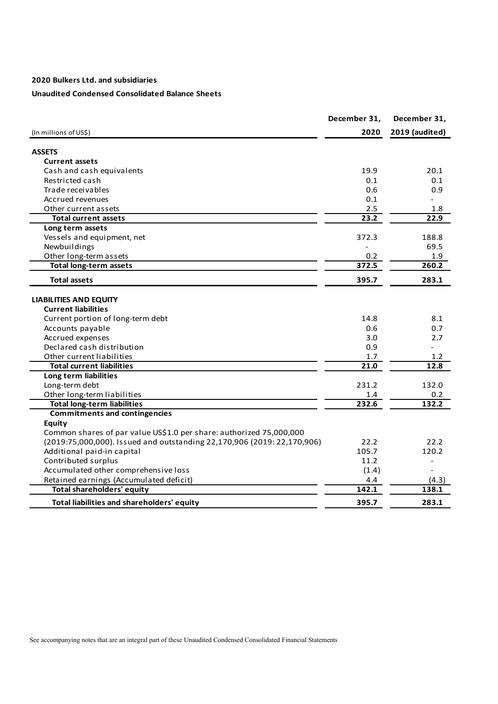# **Unaudited Condensed Consolidated Balance Sheets**

|                                                                         | December 31, | December 31,      |
|-------------------------------------------------------------------------|--------------|-------------------|
| (In millions of US\$)                                                   | 2020         | 2019 (audited)    |
|                                                                         |              |                   |
| <b>ASSETS</b>                                                           |              |                   |
| <b>Current assets</b>                                                   |              |                   |
| Cash and cash equivalents                                               | 19.9         | 20.1              |
| Restricted cash                                                         | 0.1          | 0.1               |
| Trade receivables                                                       | 0.6          | 0.9               |
| Accrued revenues                                                        | 0.1          |                   |
| Other current assets                                                    | 2.5          | 1.8               |
| <b>Total current assets</b>                                             | 23.2         | 22.9              |
| Long term assets                                                        |              |                   |
| Vessels and equipment, net                                              | 372.3        | 188.8             |
| Newbuildings                                                            |              | 69.5              |
| Other long-term assets                                                  | 0.2          | 1.9               |
| <b>Total long-term assets</b>                                           | 372.5        | 260.2             |
| <b>Total assets</b>                                                     | 395.7        | 283.1             |
| <b>LIABILITIES AND EQUITY</b>                                           |              |                   |
| <b>Current liabilities</b>                                              |              |                   |
| Current portion of long-term debt                                       | 14.8         | 8.1               |
| Accounts payable                                                        | 0.6          | 0.7               |
| Accrued expenses                                                        | 3.0          | 2.7               |
| Declared cash distribution                                              | 0.9          |                   |
| Other current liabilities                                               | 1.7          | 1.2               |
| <b>Total current liabilities</b>                                        | 21.0         | 12.8              |
| Long term liabilities                                                   |              |                   |
| Long-term debt                                                          | 231.2        | 132.0             |
| Other long-term liabilities                                             | 1.4          | 0.2               |
| <b>Total long-term liabilities</b>                                      | 232.6        | 132.2             |
| <b>Commitments and contingencies</b>                                    |              |                   |
| <b>Equity</b>                                                           |              |                   |
| Common shares of par value US\$1.0 per share: authorized 75,000,000     |              |                   |
| (2019:75,000,000). Issued and outstanding 22,170,906 (2019: 22,170,906) | 22.2         | 22.2              |
| Additional paid-in capital                                              | 105.7        | 120.2             |
| Contributed surplus                                                     | 11.2         | $\qquad \qquad -$ |
| Accumulated other comprehensive loss                                    | (1.4)        |                   |
| Retained earnings (Accumulated deficit)                                 |              |                   |
| <b>Total shareholders' equity</b>                                       | 4.4<br>142.1 | (4.3)<br>138.1    |
|                                                                         |              |                   |
| Total liabilities and shareholders' equity                              | 395.7        | 283.1             |

See accompanying notes that are an integral part of these Unaudited Condensed Consolidated Financial Statements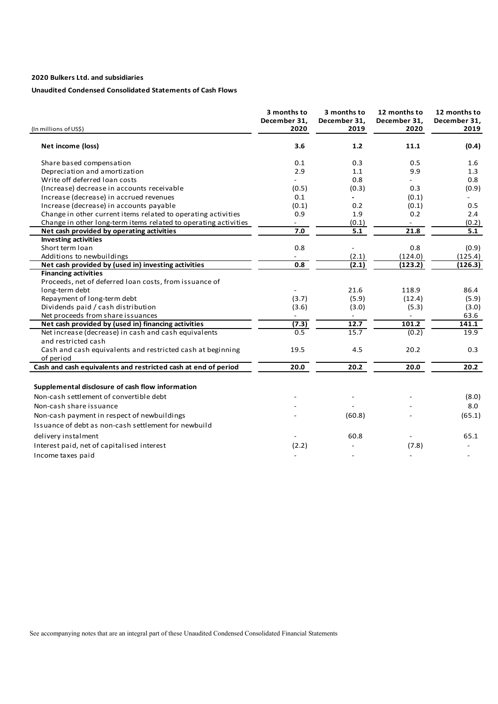# **Unaudited Condensed Consolidated Statements of Cash Flows**

| (In millions of US\$)                                           | 3 months to<br>December 31,<br>2020 | 3 months to<br>December 31,<br>2019 | 12 months to<br>December 31,<br>2020 | 12 months to<br>December 31,<br>2019 |
|-----------------------------------------------------------------|-------------------------------------|-------------------------------------|--------------------------------------|--------------------------------------|
| Net income (loss)                                               | 3.6                                 | $1.2$                               | 11.1                                 | (0.4)                                |
| Share based compensation                                        | 0.1                                 | 0.3                                 | 0.5                                  | 1.6                                  |
| Depreciation and amortization                                   | 2.9                                 | 1.1                                 | 9.9                                  | 1.3                                  |
| Write off deferred loan costs                                   |                                     | 0.8                                 |                                      | 0.8                                  |
| (Increase) decrease in accounts receivable                      | (0.5)                               | (0.3)                               | 0.3                                  | (0.9)                                |
| Increase (decrease) in accrued revenues                         | 0.1                                 |                                     | (0.1)                                |                                      |
| Increase (decrease) in accounts payable                         | (0.1)                               | 0.2                                 | (0.1)                                | 0.5                                  |
| Change in other current items related to operating activities   | 0.9                                 | 1.9                                 | 0.2                                  | 2.4                                  |
| Change in other long-term items related to operating activities |                                     | (0.1)                               |                                      | (0.2)                                |
| Net cash provided by operating activities                       | 7.0                                 | 5.1                                 | 21.8                                 | 5.1                                  |
| <b>Investing activities</b>                                     |                                     |                                     |                                      |                                      |
| Short term loan                                                 | 0.8                                 |                                     | 0.8                                  | (0.9)                                |
| Additions to newbuildings                                       |                                     | (2.1)                               | (124.0)                              | (125.4)                              |
| Net cash provided by (used in) investing activities             | 0.8                                 | (2.1)                               | (123.2)                              | (126.3)                              |
| <b>Financing activities</b>                                     |                                     |                                     |                                      |                                      |
| Proceeds, net of deferred loan costs, from issuance of          |                                     |                                     |                                      |                                      |
| long-term debt                                                  |                                     | 21.6                                | 118.9                                | 86.4                                 |
| Repayment of long-term debt                                     | (3.7)                               | (5.9)                               | (12.4)                               | (5.9)                                |
| Dividends paid / cash distribution                              | (3.6)                               | (3.0)                               | (5.3)                                | (3.0)                                |
| Net proceeds from share issuances                               | $\overline{\phantom{a}}$            | $\overline{\phantom{a}}$            | $\overline{\phantom{a}}$             | 63.6                                 |
| Net cash provided by (used in) financing activities             | (7.3)                               | 12.7                                | 101.2                                | 141.1                                |
| Net increase (decrease) in cash and cash equivalents            | 0.5                                 | 15.7                                | (0.2)                                | 19.9                                 |
| and restricted cash                                             |                                     |                                     |                                      |                                      |
| Cash and cash equivalents and restricted cash at beginning      | 19.5                                | 4.5                                 | 20.2                                 | 0.3                                  |
| of period                                                       |                                     |                                     |                                      |                                      |
| Cash and cash equivalents and restricted cash at end of period  | 20.0                                | 20.2                                | 20.0                                 | 20.2                                 |
|                                                                 |                                     |                                     |                                      |                                      |
| Supplemental disclosure of cash flow information                |                                     |                                     |                                      |                                      |
| Non-cash settlement of convertible debt                         |                                     |                                     |                                      | (8.0)                                |
| Non-cash share issuance                                         |                                     |                                     |                                      | 8.0                                  |
| Non-cash payment in respect of newbuildings                     |                                     | (60.8)                              |                                      | (65.1)                               |
| Issuance of debt as non-cash settlement for newbuild            |                                     |                                     |                                      |                                      |
|                                                                 |                                     |                                     |                                      |                                      |
| delivery instalment                                             |                                     | 60.8                                |                                      | 65.1                                 |
| Interest paid, net of capitalised interest                      | (2.2)                               |                                     | (7.8)                                |                                      |
| Income taxes paid                                               |                                     |                                     |                                      |                                      |

See accompanying notes that are an integral part of these Unaudited Condensed Consolidated Financial Statements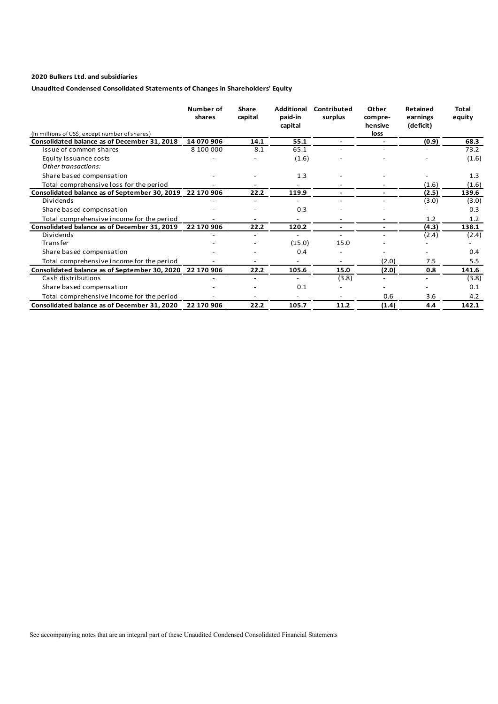# **Unaudited Condensed Consolidated Statements of Changes in Shareholders' Equity**

|                                                          | Number of<br>shares | Share<br>capital | <b>Additional</b><br>paid-in<br>capital | Contributed<br>surplus   | Other<br>compre-<br>hensive | <b>Retained</b><br>earnings<br>(deficit) | Total<br>equity |
|----------------------------------------------------------|---------------------|------------------|-----------------------------------------|--------------------------|-----------------------------|------------------------------------------|-----------------|
| (In millions of US\$, except number of shares)           |                     |                  |                                         |                          | loss                        |                                          |                 |
| Consolidated balance as of December 31, 2018             | 14 070 906          | 14.1             | 55.1                                    | $\overline{\phantom{0}}$ |                             | (0.9)                                    | 68.3            |
| Issue of common shares                                   | 8 100 000           | 8.1              | 65.1                                    |                          |                             |                                          | 73.2            |
| Equity issuance costs                                    |                     |                  | (1.6)                                   |                          |                             |                                          | (1.6)           |
| Other transactions:                                      |                     |                  |                                         |                          |                             |                                          |                 |
| Share based compensation                                 |                     |                  | 1.3                                     |                          |                             |                                          | 1.3             |
| Total comprehensive loss for the period                  |                     |                  |                                         |                          |                             | (1.6)                                    | (1.6)           |
| Consolidated balance as of September 30, 2019            | 22 170 906          | 22.2             | 119.9                                   | $\overline{\phantom{0}}$ | $\overline{\phantom{0}}$    | (2.5)                                    | 139.6           |
| Dividends                                                |                     |                  |                                         |                          |                             | (3.0)                                    | (3.0)           |
| Share based compensation                                 |                     |                  | 0.3                                     |                          |                             |                                          | 0.3             |
| Total comprehensive income for the period                |                     |                  |                                         |                          |                             | 1.2                                      | 1.2             |
| Consolidated balance as of December 31, 2019             | 22 170 906          | 22.2             | 120.2                                   | $\overline{\phantom{0}}$ | $\overline{\phantom{0}}$    | (4.3)                                    | 138.1           |
| Dividends                                                |                     |                  |                                         |                          |                             | (2.4)                                    | (2.4)           |
| Transfer                                                 |                     |                  | (15.0)                                  | 15.0                     |                             |                                          |                 |
| Share based compensation                                 |                     |                  | 0.4                                     |                          |                             |                                          | 0.4             |
| Total comprehensive income for the period                |                     |                  |                                         |                          | (2.0)                       | 7.5                                      | 5.5             |
| Consolidated balance as of September 30, 2020 22 170 906 |                     | 22.2             | 105.6                                   | 15.0                     | (2.0)                       | 0.8                                      | 141.6           |
| Cash distributions                                       |                     |                  |                                         | (3.8)                    | $\overline{\phantom{a}}$    | $\overline{\phantom{0}}$                 | (3.8)           |
| Share based compensation                                 |                     |                  | 0.1                                     |                          |                             |                                          | 0.1             |
| Total comprehensive income for the period                |                     |                  |                                         |                          | 0.6                         | 3.6                                      | 4.2             |
| Consolidated balance as of December 31, 2020             | 22 170 906          | 22.2             | 105.7                                   | 11.2                     | (1.4)                       | 4.4                                      | 142.1           |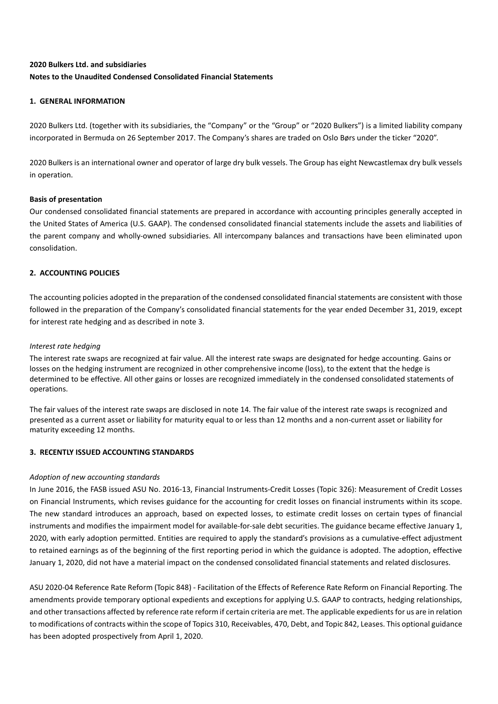# **2020 Bulkers Ltd. and subsidiaries Notes to the Unaudited Condensed Consolidated Financial Statements**

# **1. GENERAL INFORMATION**

2020 Bulkers Ltd. (together with its subsidiaries, the "Company" or the "Group" or "2020 Bulkers") is a limited liability company incorporated in Bermuda on 26 September 2017. The Company's shares are traded on Oslo Børs under the ticker "2020".

2020 Bulkers is an international owner and operator of large dry bulk vessels. The Group has eight Newcastlemax dry bulk vessels in operation.

# **Basis of presentation**

Our condensed consolidated financial statements are prepared in accordance with accounting principles generally accepted in the United States of America (U.S. GAAP). The condensed consolidated financial statements include the assets and liabilities of the parent company and wholly-owned subsidiaries. All intercompany balances and transactions have been eliminated upon consolidation.

# **2. ACCOUNTING POLICIES**

The accounting policies adopted in the preparation of the condensed consolidated financial statements are consistent with those followed in the preparation of the Company's consolidated financial statements for the year ended December 31, 2019, except for interest rate hedging and as described in note 3.

# *Interest rate hedging*

The interest rate swaps are recognized at fair value. All the interest rate swaps are designated for hedge accounting. Gains or losses on the hedging instrument are recognized in other comprehensive income (loss), to the extent that the hedge is determined to be effective. All other gains or losses are recognized immediately in the condensed consolidated statements of operations.

The fair values of the interest rate swaps are disclosed in note 14. The fair value of the interest rate swaps is recognized and presented as a current asset or liability for maturity equal to or less than 12 months and a non-current asset or liability for maturity exceeding 12 months.

# **3. RECENTLY ISSUED ACCOUNTING STANDARDS**

# *Adoption of new accounting standards*

In June 2016, the FASB issued ASU No. 2016-13, Financial Instruments-Credit Losses (Topic 326): Measurement of Credit Losses on Financial Instruments, which revises guidance for the accounting for credit losses on financial instruments within its scope. The new standard introduces an approach, based on expected losses, to estimate credit losses on certain types of financial instruments and modifies the impairment model for available-for-sale debt securities. The guidance became effective January 1, 2020, with early adoption permitted. Entities are required to apply the standard's provisions as a cumulative-effect adjustment to retained earnings as of the beginning of the first reporting period in which the guidance is adopted. The adoption, effective January 1, 2020, did not have a material impact on the condensed consolidated financial statements and related disclosures.

ASU 2020-04 Reference Rate Reform (Topic 848) - Facilitation of the Effects of Reference Rate Reform on Financial Reporting. The amendments provide temporary optional expedients and exceptions for applying U.S. GAAP to contracts, hedging relationships, and other transactions affected by reference rate reform if certain criteria are met. The applicable expedients for us are in relation to modifications of contracts within the scope of Topics 310, Receivables, 470, Debt, and Topic 842, Leases. This optional guidance has been adopted prospectively from April 1, 2020.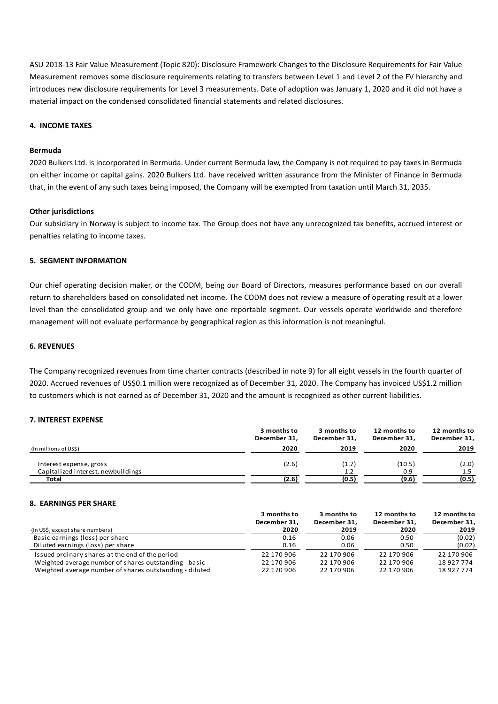ASU 2018-13 Fair Value Measurement (Topic 820): Disclosure Framework-Changes to the Disclosure Requirements for Fair Value Measurement removes some disclosure requirements relating to transfers between Level 1 and Level 2 of the FV hierarchy and introduces new disclosure requirements for Level 3 measurements. Date of adoption was January 1, 2020 and it did not have a material impact on the condensed consolidated financial statements and related disclosures.

### **4. INCOME TAXES**

### **Bermuda**

2020 Bulkers Ltd. is incorporated in Bermuda. Under current Bermuda law, the Company is not required to pay taxes in Bermuda on either income or capital gains. 2020 Bulkers Ltd. have received written assurance from the Minister of Finance in Bermuda that, in the event of any such taxes being imposed, the Company will be exempted from taxation until March 31, 2035.

### **Other jurisdictions**

Our subsidiary in Norway is subject to income tax. The Group does not have any unrecognized tax benefits, accrued interest or penalties relating to income taxes.

### **5. SEGMENT INFORMATION**

Our chief operating decision maker, or the CODM, being our Board of Directors, measures performance based on our overall return to shareholders based on consolidated net income. The CODM does not review a measure of operating result at a lower level than the consolidated group and we only have one reportable segment. Our vessels operate worldwide and therefore management will not evaluate performance by geographical region as this information is not meaningful.

# **6. REVENUES**

The Company recognized revenues from time charter contracts (described in note 9) for all eight vessels in the fourth quarter of 2020. Accrued revenues of US\$0.1 million were recognized as of December 31, 2020. The Company has invoiced US\$1.2 million to customers which is not earned as of December 31, 2020 and the amount is recognized as other current liabilities.

### **7. INTEREST EXPENSE**

|                                    | 3 months to<br>December 31. | 3 months to<br>December 31. | 12 months to<br>December 31. | 12 months to<br>December 31, |
|------------------------------------|-----------------------------|-----------------------------|------------------------------|------------------------------|
| (In millions of US\$)              | 2020                        | 2019                        | 2020                         | 2019                         |
| Interest expense, gross            | (2.6)                       | (1.7)                       | (10.5)                       | (2.0)                        |
| Capitalized interest, newbuildings |                             | 1.2                         | 0.9                          | 1.5                          |
| Total                              | (2.6)                       | (0.5)                       | (9.6)                        | (0.5)                        |

### **8. EARNINGS PER SHARE**

|                                                         | 3 months to<br>December 31. | 3 months to<br>December 31. | 12 months to<br>December 31. | 12 months to<br>December 31, |
|---------------------------------------------------------|-----------------------------|-----------------------------|------------------------------|------------------------------|
| (In US\$, except share numbers)                         | 2020                        | 2019                        | 2020                         | 2019                         |
| Basic earnings (loss) per share                         | 0.16                        | 0.06                        | 0.50                         | (0.02)                       |
| Diluted earnings (loss) per share                       | 0.16                        | 0.06                        | 0.50                         | (0.02)                       |
| Issued ordinary shares at the end of the period         | 22 170 906                  | 22 170 906                  | 22 170 906                   | 22 170 906                   |
| Weighted average number of shares outstanding - basic   | 22 170 906                  | 22 170 906                  | 22 170 906                   | 18 927 774                   |
| Weighted average number of shares outstanding - diluted | 22 170 906                  | 22 170 906                  | 22 170 906                   | 18927774                     |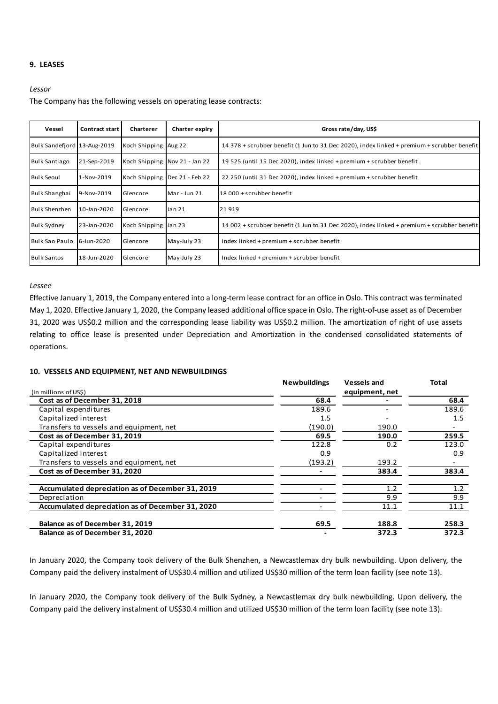# **9. LEASES**

### *Lessor*

The Company has the following vessels on operating lease contracts:

| Vessel                      | Contract start | Charterer            | Charter expiry                  | Gross rate/day, US\$                                                                        |
|-----------------------------|----------------|----------------------|---------------------------------|---------------------------------------------------------------------------------------------|
| Bulk Sandefjord 13-Aug-2019 |                | Koch Shipping Aug 22 |                                 | 14 378 + scrubber benefit (1 Jun to 31 Dec 2020), index linked + premium + scrubber benefit |
| <b>Bulk Santiago</b>        | 21-Sep-2019    |                      | Koch Shipping Nov 21 - Jan 22   | 19 525 (until 15 Dec 2020), index linked + premium + scrubber benefit                       |
| <b>Bulk Seoul</b>           | 1-Nov-2019     |                      | Koch Shipping   Dec 21 - Feb 22 | 22 250 (until 31 Dec 2020), index linked + premium + scrubber benefit                       |
| <b>Bulk Shanghai</b>        | 9-Nov-2019     | Glencore             | Mar - Jun 21                    | 18 000 + scrubber benefit                                                                   |
| <b>Bulk Shenzhen</b>        | 10-Jan-2020    | Glencore             | Jan 21                          | 21919                                                                                       |
| <b>Bulk Sydney</b>          | 23-Jan-2020    | Koch Shipping Jan 23 |                                 | 14 002 + scrubber benefit (1 Jun to 31 Dec 2020), index linked + premium + scrubber benefit |
| Bulk Sao Paulo              | 6-Jun-2020     | Glencore             | May-July 23                     | Index linked + premium + scrubber benefit                                                   |
| <b>Bulk Santos</b>          | 18-Jun-2020    | Glencore             | May-July 23                     | Index linked + premium + scrubber benefit                                                   |

### *Lessee*

Effective January 1, 2019, the Company entered into a long-term lease contract for an office in Oslo. This contract was terminated May 1, 2020. Effective January 1, 2020, the Company leased additional office space in Oslo. The right-of-use asset as of December 31, 2020 was US\$0.2 million and the corresponding lease liability was US\$0.2 million. The amortization of right of use assets relating to office lease is presented under Depreciation and Amortization in the condensed consolidated statements of operations.

# **10. VESSELS AND EQUIPMENT, NET AND NEWBUILDINGS**

|                                                  | <b>Newbuildings</b> | <b>Vessels and</b> | <b>Total</b> |
|--------------------------------------------------|---------------------|--------------------|--------------|
| (In millions of US\$)                            |                     | equipment, net     |              |
| Cost as of December 31, 2018                     | 68.4                |                    | 68.4         |
| Capital expenditures                             | 189.6               |                    | 189.6        |
| Capitalized interest                             | 1.5                 |                    | 1.5          |
| Transfers to vessels and equipment, net          | (190.0)             | 190.0              |              |
| Cost as of December 31, 2019                     | 69.5                | 190.0              | 259.5        |
| Capital expenditures                             | 122.8               | 0.2                | 123.0        |
| Capitalized interest                             | 0.9                 |                    | 0.9          |
| Transfers to vessels and equipment, net          | (193.2)             | 193.2              |              |
| Cost as of December 31, 2020                     |                     | 383.4              | 383.4        |
| Accumulated depreciation as of December 31, 2019 |                     | 1.2                | 1.2          |
| Depreciation                                     |                     | 9.9                | 9.9          |
| Accumulated depreciation as of December 31, 2020 |                     | 11.1               | 11.1         |
| Balance as of December 31, 2019                  | 69.5                | 188.8              | 258.3        |
| Balance as of December 31, 2020                  |                     | 372.3              | 372.3        |

In January 2020, the Company took delivery of the Bulk Shenzhen, a Newcastlemax dry bulk newbuilding. Upon delivery, the Company paid the delivery instalment of US\$30.4 million and utilized US\$30 million of the term loan facility (see note 13).

In January 2020, the Company took delivery of the Bulk Sydney, a Newcastlemax dry bulk newbuilding. Upon delivery, the Company paid the delivery instalment of US\$30.4 million and utilized US\$30 million of the term loan facility (see note 13).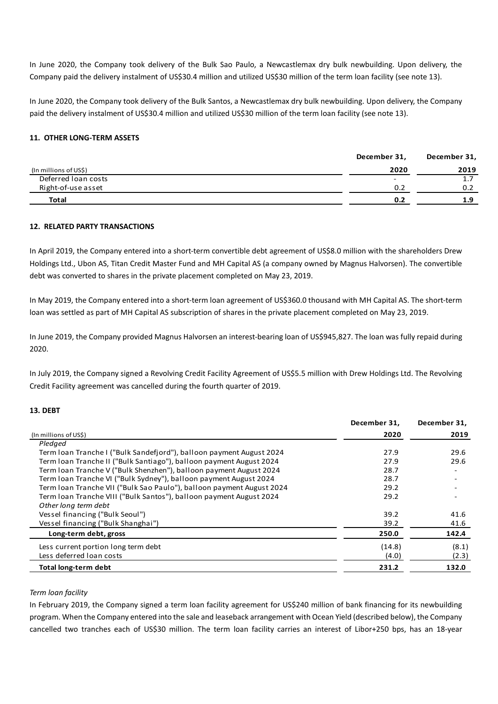In June 2020, the Company took delivery of the Bulk Sao Paulo, a Newcastlemax dry bulk newbuilding. Upon delivery, the Company paid the delivery instalment of US\$30.4 million and utilized US\$30 million of the term loan facility (see note 13).

In June 2020, the Company took delivery of the Bulk Santos, a Newcastlemax dry bulk newbuilding. Upon delivery, the Company paid the delivery instalment of US\$30.4 million and utilized US\$30 million of the term loan facility (see note 13).

# **11. OTHER LONG-TERM ASSETS**

|                       | December 31, | December 31, |
|-----------------------|--------------|--------------|
| (In millions of US\$) | 2020         | 2019         |
| Deferred Ioan costs   | -            | <u>.</u>     |
| Right-of-use asset    | 0.2          | 0.2          |
| <b>Total</b>          | 0.2          | 1.9          |

# **12. RELATED PARTY TRANSACTIONS**

In April 2019, the Company entered into a short-term convertible debt agreement of US\$8.0 million with the shareholders Drew Holdings Ltd., Ubon AS, Titan Credit Master Fund and MH Capital AS (a company owned by Magnus Halvorsen). The convertible debt was converted to shares in the private placement completed on May 23, 2019.

In May 2019, the Company entered into a short-term loan agreement of US\$360.0 thousand with MH Capital AS. The short-term loan was settled as part of MH Capital AS subscription of shares in the private placement completed on May 23, 2019.

In June 2019, the Company provided Magnus Halvorsen an interest-bearing loan of US\$945,827. The loan was fully repaid during 2020.

In July 2019, the Company signed a Revolving Credit Facility Agreement of US\$5.5 million with Drew Holdings Ltd. The Revolving Credit Facility agreement was cancelled during the fourth quarter of 2019.

# **13. DEBT**

|                                                                       | December 31, | December 31, |
|-----------------------------------------------------------------------|--------------|--------------|
| (In millions of US\$)                                                 | 2020         | 2019         |
| Pledged                                                               |              |              |
| Term Ioan Tranche I ("Bulk Sandefjord"), balloon payment August 2024  | 27.9         | 29.6         |
| Term Ioan Tranche II ("Bulk Santiago"), balloon payment August 2024   | 27.9         | 29.6         |
| Term Ioan Tranche V ("Bulk Shenzhen"), balloon payment August 2024    | 28.7         |              |
| Term Ioan Tranche VI ("Bulk Sydney"), balloon payment August 2024     | 28.7         |              |
| Term Ioan Tranche VII ("Bulk Sao Paulo"), balloon payment August 2024 | 29.2         |              |
| Term Ioan Tranche VIII ("Bulk Santos"), balloon payment August 2024   | 29.2         |              |
| Other long term debt                                                  |              |              |
| Vessel financing ("Bulk Seoul")                                       | 39.2         | 41.6         |
| Vessel financing ("Bulk Shanghai")                                    | 39.2         | 41.6         |
| Long-term debt, gross                                                 | 250.0        | 142.4        |
| Less current portion long term debt                                   | (14.8)       | (8.1)        |
| Less deferred loan costs                                              | (4.0)        | (2.3)        |
| <b>Total long-term debt</b>                                           | 231.2        | 132.0        |

# *Term loan facility*

In February 2019, the Company signed a term loan facility agreement for US\$240 million of bank financing for its newbuilding program. When the Company entered into the sale and leaseback arrangement with Ocean Yield (described below), the Company cancelled two tranches each of US\$30 million. The term loan facility carries an interest of Libor+250 bps, has an 18-year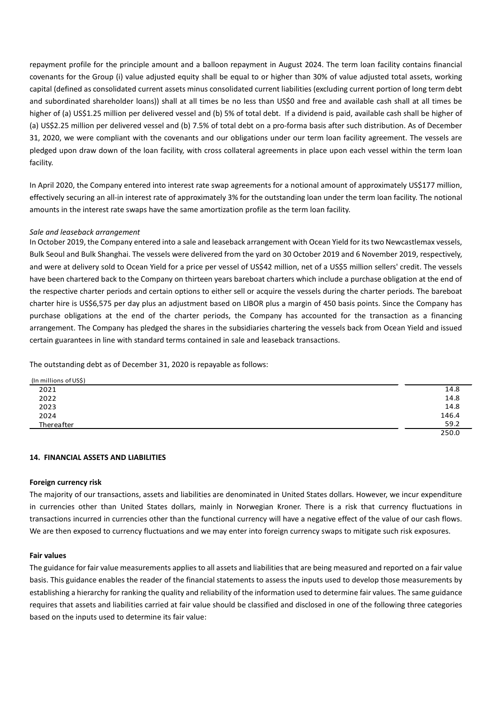repayment profile for the principle amount and a balloon repayment in August 2024. The term loan facility contains financial covenants for the Group (i) value adjusted equity shall be equal to or higher than 30% of value adjusted total assets, working capital (defined as consolidated current assets minus consolidated current liabilities (excluding current portion of long term debt and subordinated shareholder loans)) shall at all times be no less than US\$0 and free and available cash shall at all times be higher of (a) US\$1.25 million per delivered vessel and (b) 5% of total debt. If a dividend is paid, available cash shall be higher of (a) US\$2.25 million per delivered vessel and (b) 7.5% of total debt on a pro-forma basis after such distribution. As of December 31, 2020, we were compliant with the covenants and our obligations under our term loan facility agreement. The vessels are pledged upon draw down of the loan facility, with cross collateral agreements in place upon each vessel within the term loan facility.

In April 2020, the Company entered into interest rate swap agreements for a notional amount of approximately US\$177 million, effectively securing an all-in interest rate of approximately 3% for the outstanding loan under the term loan facility. The notional amounts in the interest rate swaps have the same amortization profile as the term loan facility.

# *Sale and leaseback arrangement*

In October 2019, the Company entered into a sale and leaseback arrangement with Ocean Yield for its two Newcastlemax vessels, Bulk Seoul and Bulk Shanghai. The vessels were delivered from the yard on 30 October 2019 and 6 November 2019, respectively, and were at delivery sold to Ocean Yield for a price per vessel of US\$42 million, net of a US\$5 million sellers' credit. The vessels have been chartered back to the Company on thirteen years bareboat charters which include a purchase obligation at the end of the respective charter periods and certain options to either sell or acquire the vessels during the charter periods. The bareboat charter hire is US\$6,575 per day plus an adjustment based on LIBOR plus a margin of 450 basis points. Since the Company has purchase obligations at the end of the charter periods, the Company has accounted for the transaction as a financing arrangement. The Company has pledged the shares in the subsidiaries chartering the vessels back from Ocean Yield and issued certain guarantees in line with standard terms contained in sale and leaseback transactions.

The outstanding debt as of December 31, 2020 is repayable as follows:

| (In millions of US\$) |       |
|-----------------------|-------|
| 2021                  | 14.8  |
| 2022                  | 14.8  |
| 2023                  | 14.8  |
| 2024                  | 146.4 |
| Thereafter            | 59.2  |
|                       | 250.0 |

### **14. FINANCIAL ASSETS AND LIABILITIES**

### **Foreign currency risk**

The majority of our transactions, assets and liabilities are denominated in United States dollars. However, we incur expenditure in currencies other than United States dollars, mainly in Norwegian Kroner. There is a risk that currency fluctuations in transactions incurred in currencies other than the functional currency will have a negative effect of the value of our cash flows. We are then exposed to currency fluctuations and we may enter into foreign currency swaps to mitigate such risk exposures.

### **Fair values**

The guidance for fair value measurements applies to all assets and liabilities that are being measured and reported on a fair value basis. This guidance enables the reader of the financial statements to assess the inputs used to develop those measurements by establishing a hierarchy for ranking the quality and reliability of the information used to determine fair values. The same guidance requires that assets and liabilities carried at fair value should be classified and disclosed in one of the following three categories based on the inputs used to determine its fair value: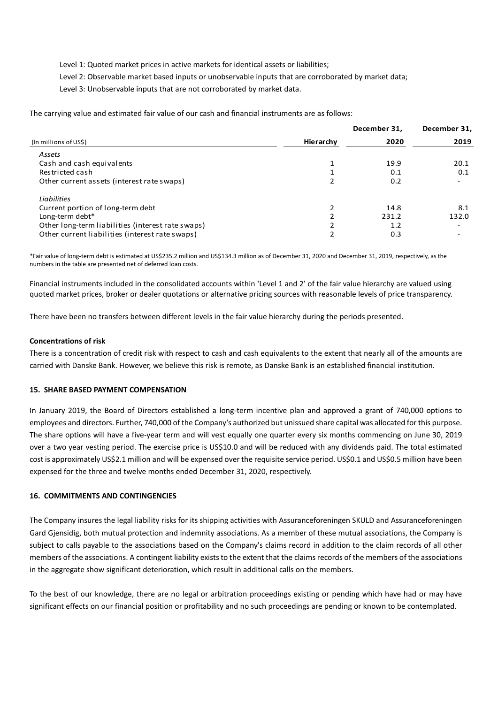Level 1: Quoted market prices in active markets for identical assets or liabilities;

Level 2: Observable market based inputs or unobservable inputs that are corroborated by market data;

Level 3: Unobservable inputs that are not corroborated by market data.

The carrying value and estimated fair value of our cash and financial instruments are as follows:

|           | December 31, | December 31,             |
|-----------|--------------|--------------------------|
| Hierarchy | 2020         | 2019                     |
|           |              |                          |
|           | 19.9         | 20.1                     |
|           | 0.1          | 0.1                      |
|           | 0.2          | ۰                        |
|           |              |                          |
|           | 14.8         | 8.1                      |
|           | 231.2        | 132.0                    |
|           | 1.2          | $\overline{\phantom{a}}$ |
| ำ         | 0.3          | $\overline{\phantom{0}}$ |
|           |              |                          |

\*Fair value of long-term debt is estimated at US\$235.2 million and US\$134.3 million as of December 31, 2020 and December 31, 2019, respectively, as the numbers in the table are presented net of deferred loan costs.

Financial instruments included in the consolidated accounts within 'Level 1 and 2' of the fair value hierarchy are valued using quoted market prices, broker or dealer quotations or alternative pricing sources with reasonable levels of price transparency.

There have been no transfers between different levels in the fair value hierarchy during the periods presented.

### **Concentrations of risk**

There is a concentration of credit risk with respect to cash and cash equivalents to the extent that nearly all of the amounts are carried with Danske Bank. However, we believe this risk is remote, as Danske Bank is an established financial institution.

### **15. SHARE BASED PAYMENT COMPENSATION**

In January 2019, the Board of Directors established a long-term incentive plan and approved a grant of 740,000 options to employees and directors. Further, 740,000 of the Company's authorized but unissued share capital was allocated for this purpose. The share options will have a five-year term and will vest equally one quarter every six months commencing on June 30, 2019 over a two year vesting period. The exercise price is US\$10.0 and will be reduced with any dividends paid. The total estimated cost is approximately US\$2.1 million and will be expensed over the requisite service period. US\$0.1 and US\$0.5 million have been expensed for the three and twelve months ended December 31, 2020, respectively.

### **16. COMMITMENTS AND CONTINGENCIES**

The Company insures the legal liability risks for its shipping activities with Assuranceforeningen SKULD and Assuranceforeningen Gard Gjensidig, both mutual protection and indemnity associations. As a member of these mutual associations, the Company is subject to calls payable to the associations based on the Company's claims record in addition to the claim records of all other members of the associations. A contingent liability exists to the extent that the claims records of the members of the associations in the aggregate show significant deterioration, which result in additional calls on the members.

To the best of our knowledge, there are no legal or arbitration proceedings existing or pending which have had or may have significant effects on our financial position or profitability and no such proceedings are pending or known to be contemplated.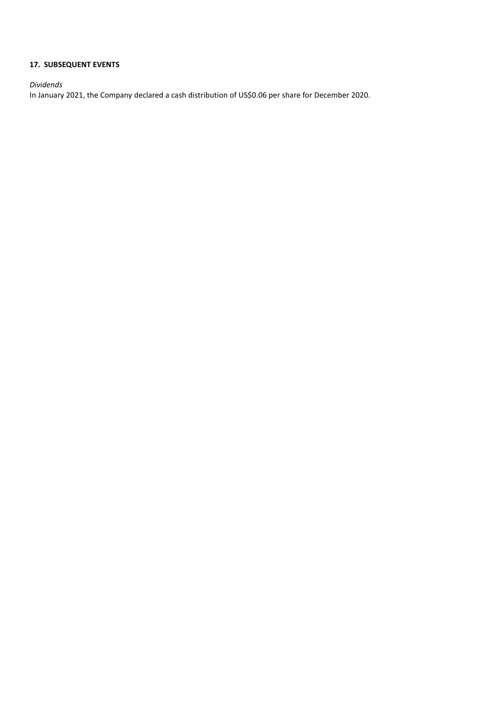# **17. SUBSEQUENT EVENTS**

*Dividends*

In January 2021, the Company declared a cash distribution of US\$0.06 per share for December 2020.